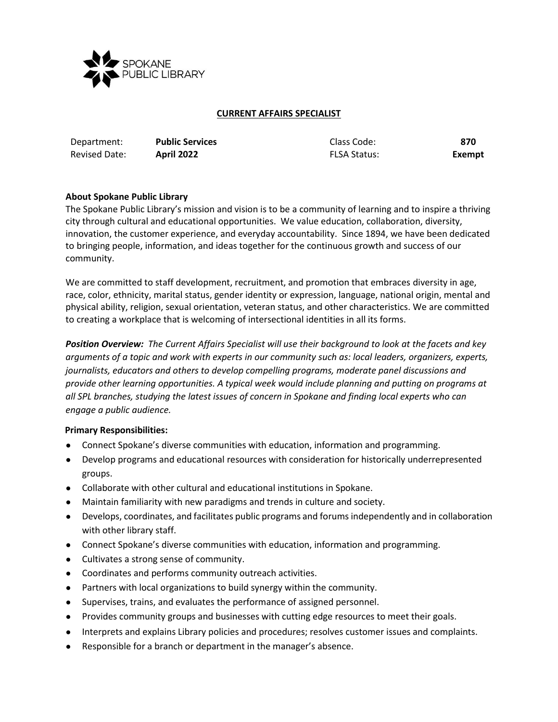

## **CURRENT AFFAIRS SPECIALIST**

| Department:   | <b>Public Services</b> | Class Code:         | 870    |
|---------------|------------------------|---------------------|--------|
| Revised Date: | <b>April 2022</b>      | <b>FLSA Status:</b> | Exempt |

## **About Spokane Public Library**

The Spokane Public Library's mission and vision is to be a community of learning and to inspire a thriving city through cultural and educational opportunities. We value education, collaboration, diversity, innovation, the customer experience, and everyday accountability. Since 1894, we have been dedicated to bringing people, information, and ideas together for the continuous growth and success of our community.

We are committed to staff development, recruitment, and promotion that embraces diversity in age, race, color, ethnicity, marital status, gender identity or expression, language, national origin, mental and physical ability, religion, sexual orientation, veteran status, and other characteristics. We are committed to creating a workplace that is welcoming of intersectional identities in all its forms.

*Position Overview: The Current Affairs Specialist will use their background to look at the facets and key arguments of a topic and work with experts in our community such as: local leaders, organizers, experts, journalists, educators and others to develop compelling programs, moderate panel discussions and provide other learning opportunities. A typical week would include planning and putting on programs at all SPL branches, studying the latest issues of concern in Spokane and finding local experts who can engage a public audience.*

#### **Primary Responsibilities:**

- Connect Spokane's diverse communities with education, information and programming.
- Develop programs and educational resources with consideration for historically underrepresented groups.
- Collaborate with other cultural and educational institutions in Spokane.
- Maintain familiarity with new paradigms and trends in culture and society.
- Develops, coordinates, and facilitates public programs and forums independently and in collaboration with other library staff.
- Connect Spokane's diverse communities with education, information and programming.
- Cultivates a strong sense of community.
- Coordinates and performs community outreach activities.
- Partners with local organizations to build synergy within the community.
- Supervises, trains, and evaluates the performance of assigned personnel.
- Provides community groups and businesses with cutting edge resources to meet their goals.
- Interprets and explains Library policies and procedures; resolves customer issues and complaints.
- Responsible for a branch or department in the manager's absence.